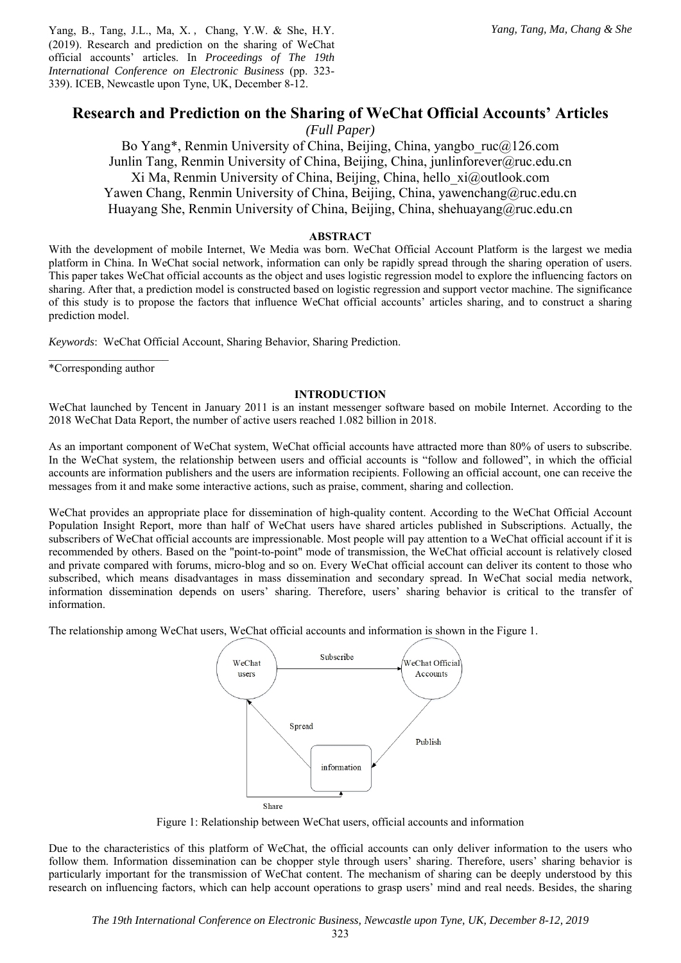Yang, B., Tang, J.L., Ma, X., Chang, Y.W. & She, H.Y. (2019). Research and prediction on the sharing of WeChat official accounts' articles. In *Proceedings of The 19th International Conference on Electronic Business* (pp. 323- 339). ICEB, Newcastle upon Tyne, UK, December 8-12.

# **Research and Prediction on the Sharing of WeChat Official Accounts' Articles**

*(Full Paper)* 

Bo Yang\*, Renmin University of China, Beijing, China, yangbo\_ruc@126.com Junlin Tang, Renmin University of China, Beijing, China, junlinforever@ruc.edu.cn Xi Ma, Renmin University of China, Beijing, China, hello\_xi@outlook.com Yawen Chang, Renmin University of China, Beijing, China, yawenchang@ruc.edu.cn Huayang She, Renmin University of China, Beijing, China, shehuayang@ruc.edu.cn

### **ABSTRACT**

With the development of mobile Internet, We Media was born. WeChat Official Account Platform is the largest we media platform in China. In WeChat social network, information can only be rapidly spread through the sharing operation of users. This paper takes WeChat official accounts as the object and uses logistic regression model to explore the influencing factors on sharing. After that, a prediction model is constructed based on logistic regression and support vector machine. The significance of this study is to propose the factors that influence WeChat official accounts' articles sharing, and to construct a sharing prediction model.

*Keywords*: WeChat Official Account, Sharing Behavior, Sharing Prediction.

 $\overline{\phantom{a}}$  , where  $\overline{\phantom{a}}$ \*Corresponding author

#### **INTRODUCTION**

WeChat launched by Tencent in January 2011 is an instant messenger software based on mobile Internet. According to the 2018 WeChat Data Report, the number of active users reached 1.082 billion in 2018.

As an important component of WeChat system, WeChat official accounts have attracted more than 80% of users to subscribe. In the WeChat system, the relationship between users and official accounts is "follow and followed", in which the official accounts are information publishers and the users are information recipients. Following an official account, one can receive the messages from it and make some interactive actions, such as praise, comment, sharing and collection.

WeChat provides an appropriate place for dissemination of high-quality content. According to the WeChat Official Account Population Insight Report, more than half of WeChat users have shared articles published in Subscriptions. Actually, the subscribers of WeChat official accounts are impressionable. Most people will pay attention to a WeChat official account if it is recommended by others. Based on the "point-to-point" mode of transmission, the WeChat official account is relatively closed and private compared with forums, micro-blog and so on. Every WeChat official account can deliver its content to those who subscribed, which means disadvantages in mass dissemination and secondary spread. In WeChat social media network, information dissemination depends on users' sharing. Therefore, users' sharing behavior is critical to the transfer of information.

The relationship among WeChat users, WeChat official accounts and information is shown in the Figure 1.



Figure 1: Relationship between WeChat users, official accounts and information

Due to the characteristics of this platform of WeChat, the official accounts can only deliver information to the users who follow them. Information dissemination can be chopper style through users' sharing. Therefore, users' sharing behavior is particularly important for the transmission of WeChat content. The mechanism of sharing can be deeply understood by this research on influencing factors, which can help account operations to grasp users' mind and real needs. Besides, the sharing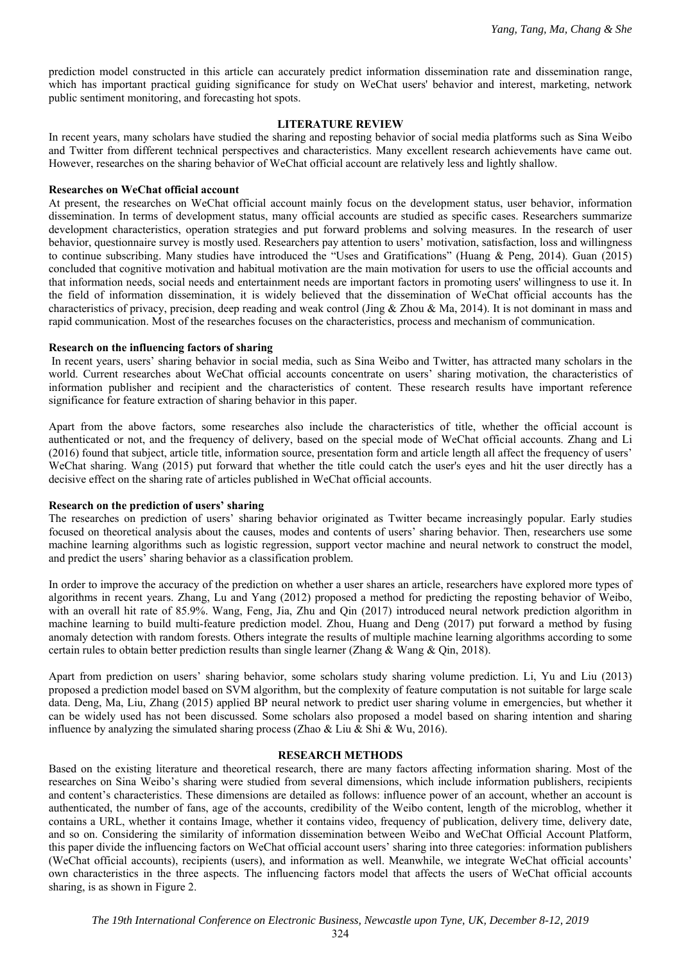prediction model constructed in this article can accurately predict information dissemination rate and dissemination range, which has important practical guiding significance for study on WeChat users' behavior and interest, marketing, network public sentiment monitoring, and forecasting hot spots.

### **LITERATURE REVIEW**

In recent years, many scholars have studied the sharing and reposting behavior of social media platforms such as Sina Weibo and Twitter from different technical perspectives and characteristics. Many excellent research achievements have came out. However, researches on the sharing behavior of WeChat official account are relatively less and lightly shallow.

### **Researches on WeChat official account**

At present, the researches on WeChat official account mainly focus on the development status, user behavior, information dissemination. In terms of development status, many official accounts are studied as specific cases. Researchers summarize development characteristics, operation strategies and put forward problems and solving measures. In the research of user behavior, questionnaire survey is mostly used. Researchers pay attention to users' motivation, satisfaction, loss and willingness to continue subscribing. Many studies have introduced the "Uses and Gratifications" (Huang & Peng, 2014). Guan (2015) concluded that cognitive motivation and habitual motivation are the main motivation for users to use the official accounts and that information needs, social needs and entertainment needs are important factors in promoting users' willingness to use it. In the field of information dissemination, it is widely believed that the dissemination of WeChat official accounts has the characteristics of privacy, precision, deep reading and weak control (Jing & Zhou & Ma, 2014). It is not dominant in mass and rapid communication. Most of the researches focuses on the characteristics, process and mechanism of communication.

### **Research on the influencing factors of sharing**

 In recent years, users' sharing behavior in social media, such as Sina Weibo and Twitter, has attracted many scholars in the world. Current researches about WeChat official accounts concentrate on users' sharing motivation, the characteristics of information publisher and recipient and the characteristics of content. These research results have important reference significance for feature extraction of sharing behavior in this paper.

Apart from the above factors, some researches also include the characteristics of title, whether the official account is authenticated or not, and the frequency of delivery, based on the special mode of WeChat official accounts. Zhang and Li (2016) found that subject, article title, information source, presentation form and article length all affect the frequency of users' WeChat sharing. Wang (2015) put forward that whether the title could catch the user's eyes and hit the user directly has a decisive effect on the sharing rate of articles published in WeChat official accounts.

### **Research on the prediction of users' sharing**

The researches on prediction of users' sharing behavior originated as Twitter became increasingly popular. Early studies focused on theoretical analysis about the causes, modes and contents of users' sharing behavior. Then, researchers use some machine learning algorithms such as logistic regression, support vector machine and neural network to construct the model, and predict the users' sharing behavior as a classification problem.

In order to improve the accuracy of the prediction on whether a user shares an article, researchers have explored more types of algorithms in recent years. Zhang, Lu and Yang (2012) proposed a method for predicting the reposting behavior of Weibo, with an overall hit rate of 85.9%. Wang, Feng, Jia, Zhu and Qin (2017) introduced neural network prediction algorithm in machine learning to build multi-feature prediction model. Zhou, Huang and Deng (2017) put forward a method by fusing anomaly detection with random forests. Others integrate the results of multiple machine learning algorithms according to some certain rules to obtain better prediction results than single learner (Zhang & Wang & Qin, 2018).

Apart from prediction on users' sharing behavior, some scholars study sharing volume prediction. Li, Yu and Liu (2013) proposed a prediction model based on SVM algorithm, but the complexity of feature computation is not suitable for large scale data. Deng, Ma, Liu, Zhang (2015) applied BP neural network to predict user sharing volume in emergencies, but whether it can be widely used has not been discussed. Some scholars also proposed a model based on sharing intention and sharing influence by analyzing the simulated sharing process (Zhao & Liu & Shi & Wu, 2016).

### **RESEARCH METHODS**

Based on the existing literature and theoretical research, there are many factors affecting information sharing. Most of the researches on Sina Weibo's sharing were studied from several dimensions, which include information publishers, recipients and content's characteristics. These dimensions are detailed as follows: influence power of an account, whether an account is authenticated, the number of fans, age of the accounts, credibility of the Weibo content, length of the microblog, whether it contains a URL, whether it contains Image, whether it contains video, frequency of publication, delivery time, delivery date, and so on. Considering the similarity of information dissemination between Weibo and WeChat Official Account Platform, this paper divide the influencing factors on WeChat official account users' sharing into three categories: information publishers (WeChat official accounts), recipients (users), and information as well. Meanwhile, we integrate WeChat official accounts' own characteristics in the three aspects. The influencing factors model that affects the users of WeChat official accounts sharing, is as shown in Figure 2.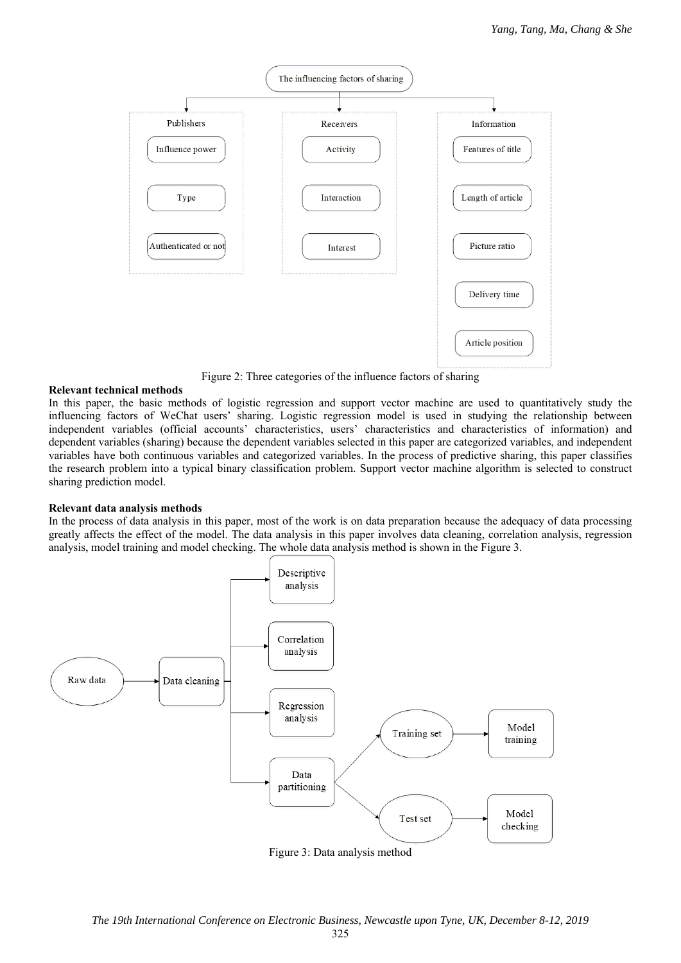

Figure 2: Three categories of the influence factors of sharing

# **Relevant technical methods**

In this paper, the basic methods of logistic regression and support vector machine are used to quantitatively study the influencing factors of WeChat users' sharing. Logistic regression model is used in studying the relationship between independent variables (official accounts' characteristics, users' characteristics and characteristics of information) and dependent variables (sharing) because the dependent variables selected in this paper are categorized variables, and independent variables have both continuous variables and categorized variables. In the process of predictive sharing, this paper classifies the research problem into a typical binary classification problem. Support vector machine algorithm is selected to construct sharing prediction model.

# **Relevant data analysis methods**

In the process of data analysis in this paper, most of the work is on data preparation because the adequacy of data processing greatly affects the effect of the model. The data analysis in this paper involves data cleaning, correlation analysis, regression analysis, model training and model checking. The whole data analysis method is shown in the Figure 3.



Figure 3: Data analysis method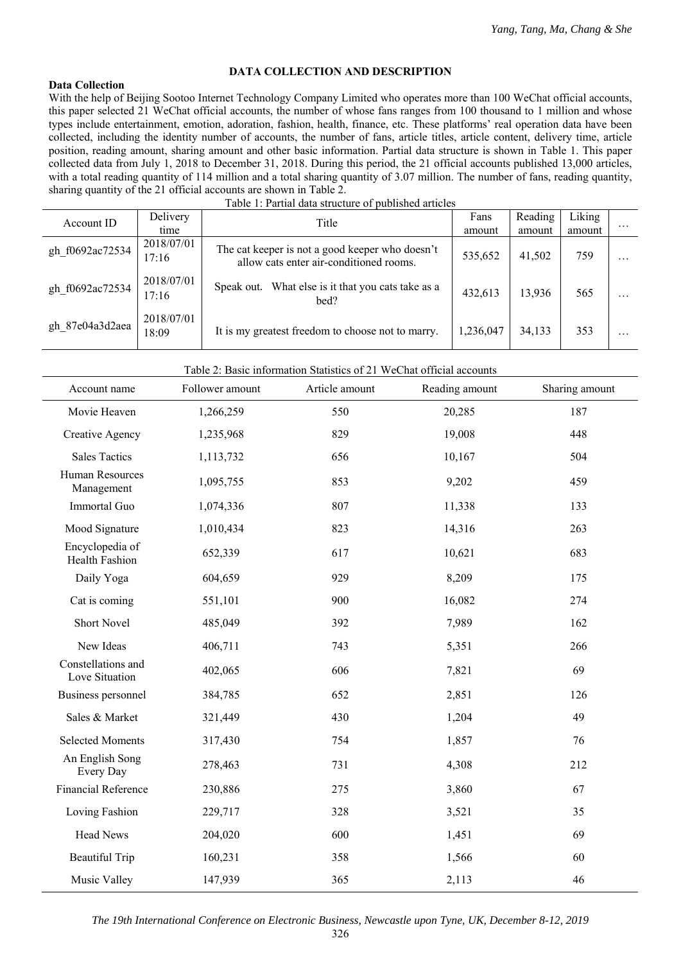# **DATA COLLECTION AND DESCRIPTION**

# **Data Collection**

With the help of Beijing Sootoo Internet Technology Company Limited who operates more than 100 WeChat official accounts, this paper selected 21 WeChat official accounts, the number of whose fans ranges from 100 thousand to 1 million and whose types include entertainment, emotion, adoration, fashion, health, finance, etc. These platforms' real operation data have been collected, including the identity number of accounts, the number of fans, article titles, article content, delivery time, article position, reading amount, sharing amount and other basic information. Partial data structure is shown in Table 1. This paper collected data from July 1, 2018 to December 31, 2018. During this period, the 21 official accounts published 13,000 articles, with a total reading quantity of 114 million and a total sharing quantity of 3.07 million. The number of fans, reading quantity, sharing quantity of the 21 official accounts are shown in Table 2. Table 1: Partial data structure of published articles

|                 | Table 1: Partial data structure of published articles |                                                                                            |           |         |        |          |  |  |
|-----------------|-------------------------------------------------------|--------------------------------------------------------------------------------------------|-----------|---------|--------|----------|--|--|
| Account ID      | Delivery                                              | Title                                                                                      | Fans      | Reading | Liking |          |  |  |
|                 | time                                                  |                                                                                            | amount    | amount  | amount | $\cdots$ |  |  |
| gh f0692ac72534 | 2018/07/01<br>17:16                                   | The cat keeper is not a good keeper who doesn't<br>allow cats enter air-conditioned rooms. | 535,652   | 41,502  | 759    | $\cdots$ |  |  |
| gh f0692ac72534 | 2018/07/01<br>17:16                                   | What else is it that you cats take as a<br>Speak out.<br>bed?                              | 432,613   | 13,936  | 565    | $\cdots$ |  |  |
| gh 87e04a3d2aea | 2018/07/01<br>18:09                                   | It is my greatest freedom to choose not to marry.                                          | 1,236,047 | 34,133  | 353    | $\cdots$ |  |  |

#### Table 2: Basic information Statistics of 21 WeChat official accounts

| Account name                         | Follower amount | Article amount | Reading amount | Sharing amount |
|--------------------------------------|-----------------|----------------|----------------|----------------|
| Movie Heaven                         | 1,266,259       | 550            | 20,285         | 187            |
| <b>Creative Agency</b>               | 1,235,968       | 829            | 19,008         | 448            |
| <b>Sales Tactics</b>                 | 1,113,732       | 656            | 10,167         | 504            |
| Human Resources<br>Management        | 1,095,755       | 853            | 9,202          | 459            |
| Immortal Guo                         | 1,074,336       | 807            | 11,338         | 133            |
| Mood Signature                       | 1,010,434       | 823            | 14,316         | 263            |
| Encyclopedia of<br>Health Fashion    | 652,339         | 617            | 10,621         | 683            |
| Daily Yoga                           | 604,659         | 929            | 8,209          | 175            |
| Cat is coming                        | 551,101         | 900            | 16,082         | 274            |
| <b>Short Novel</b>                   | 485,049         | 392            | 7,989          | 162            |
| New Ideas                            | 406,711         | 743            | 5,351          | 266            |
| Constellations and<br>Love Situation | 402,065         | 606            | 7,821          | 69             |
| Business personnel                   | 384,785         | 652            | 2,851          | 126            |
| Sales & Market                       | 321,449         | 430            | 1,204          | 49             |
| <b>Selected Moments</b>              | 317,430         | 754            | 1,857          | 76             |
| An English Song<br>Every Day         | 278,463         | 731            | 4,308          | 212            |
| <b>Financial Reference</b>           | 230,886         | 275            | 3,860          | 67             |
| Loving Fashion                       | 229,717         | 328            | 3,521          | 35             |
| <b>Head News</b>                     | 204,020         | 600            | 1,451          | 69             |
| <b>Beautiful Trip</b>                | 160,231         | 358            | 1,566          | 60             |
| Music Valley                         | 147,939         | 365            | 2,113          | 46             |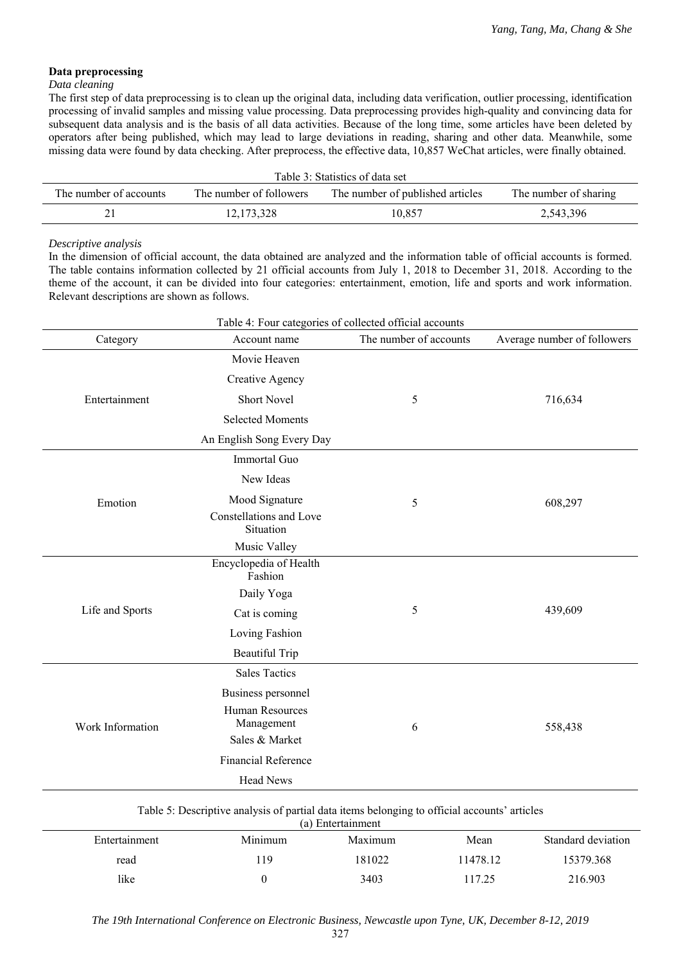# **Data preprocessing**

### *Data cleaning*

The first step of data preprocessing is to clean up the original data, including data verification, outlier processing, identification processing of invalid samples and missing value processing. Data preprocessing provides high-quality and convincing data for subsequent data analysis and is the basis of all data activities. Because of the long time, some articles have been deleted by operators after being published, which may lead to large deviations in reading, sharing and other data. Meanwhile, some missing data were found by data checking. After preprocess, the effective data, 10,857 WeChat articles, were finally obtained.

| Table 3: Statistics of data set                                                                                |            |        |           |  |  |
|----------------------------------------------------------------------------------------------------------------|------------|--------|-----------|--|--|
| The number of sharing<br>The number of accounts<br>The number of followers<br>The number of published articles |            |        |           |  |  |
|                                                                                                                | 12.173.328 | 10,857 | 2,543,396 |  |  |

# *Descriptive analysis*

In the dimension of official account, the data obtained are analyzed and the information table of official accounts is formed. The table contains information collected by 21 official accounts from July 1, 2018 to December 31, 2018. According to the theme of the account, it can be divided into four categories: entertainment, emotion, life and sports and work information. Relevant descriptions are shown as follows.

| Category         | Account name                                                          | The number of accounts | Average number of followers |  |
|------------------|-----------------------------------------------------------------------|------------------------|-----------------------------|--|
|                  | Movie Heaven                                                          |                        |                             |  |
|                  | Creative Agency                                                       |                        |                             |  |
| Entertainment    | <b>Short Novel</b>                                                    | 5                      | 716,634                     |  |
|                  | <b>Selected Moments</b>                                               |                        |                             |  |
|                  | An English Song Every Day                                             |                        |                             |  |
|                  | Immortal Guo                                                          |                        |                             |  |
|                  | New Ideas                                                             |                        |                             |  |
| Emotion          | Mood Signature                                                        | 5                      | 608,297                     |  |
|                  | Constellations and Love<br>Situation                                  |                        |                             |  |
|                  | Music Valley                                                          |                        |                             |  |
|                  | Encyclopedia of Health<br>Fashion                                     |                        |                             |  |
|                  | Daily Yoga                                                            |                        | 439,609                     |  |
| Life and Sports  | Cat is coming                                                         | 5                      |                             |  |
|                  | Loving Fashion                                                        |                        |                             |  |
|                  | <b>Beautiful Trip</b>                                                 |                        |                             |  |
|                  | <b>Sales Tactics</b>                                                  |                        |                             |  |
| Work Information | Business personnel<br>Human Resources<br>Management<br>Sales & Market | 6                      | 558,438                     |  |
|                  | Financial Reference                                                   |                        |                             |  |
|                  | <b>Head News</b>                                                      |                        |                             |  |

| (a) Entertainment |         |         |          |                    |  |  |
|-------------------|---------|---------|----------|--------------------|--|--|
| Entertainment     | Minimum | Maximum | Mean     | Standard deviation |  |  |
| read              | 19      | 181022  | 11478.12 | 15379.368          |  |  |
| like              |         | 3403    | 17.25    | 216.903            |  |  |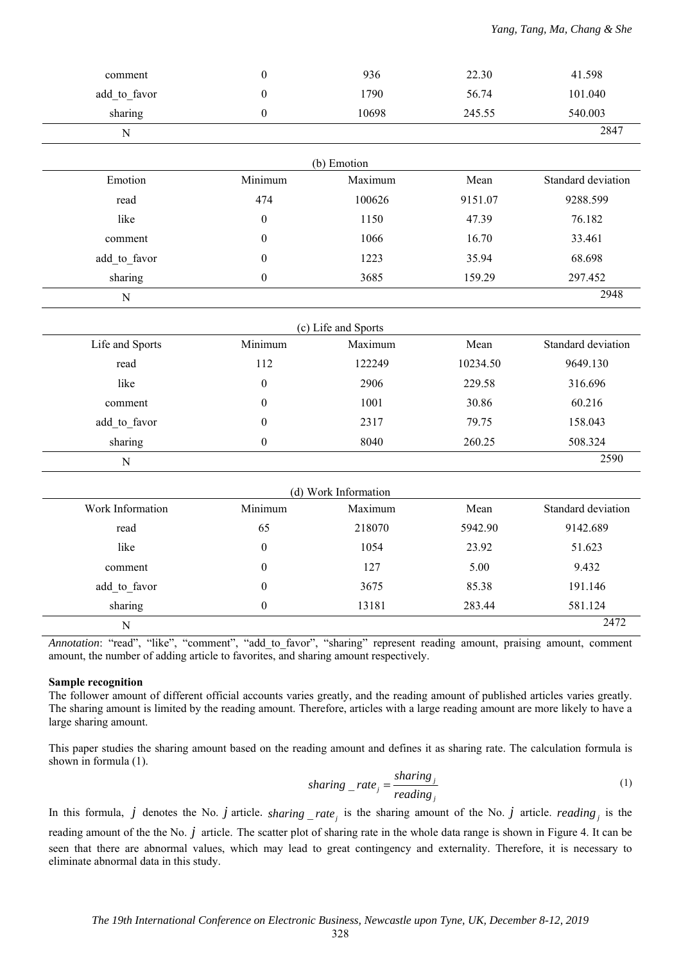| comment          | $\boldsymbol{0}$ | 936                  | 22.30    | 41.598             |
|------------------|------------------|----------------------|----------|--------------------|
| add to favor     | $\boldsymbol{0}$ | 1790                 | 56.74    | 101.040            |
| sharing          | $\boldsymbol{0}$ | 10698                | 245.55   | 540.003            |
| ${\bf N}$        |                  |                      |          | 2847               |
|                  |                  | (b) Emotion          |          |                    |
| Emotion          | Minimum          | Maximum              | Mean     | Standard deviation |
| read             | 474              | 100626               | 9151.07  | 9288.599           |
| like             | $\boldsymbol{0}$ | 1150                 | 47.39    | 76.182             |
| comment          | $\theta$         | 1066                 | 16.70    | 33.461             |
| add to favor     | $\boldsymbol{0}$ | 1223                 | 35.94    | 68.698             |
| sharing          | $\boldsymbol{0}$ | 3685                 | 159.29   | 297.452            |
|                  |                  |                      |          | 2948               |
| ${\bf N}$        |                  |                      |          |                    |
|                  |                  | (c) Life and Sports  |          |                    |
| Life and Sports  | Minimum          | Maximum              | Mean     | Standard deviation |
| read             | 112              | 122249               | 10234.50 | 9649.130           |
| like             | $\boldsymbol{0}$ | 2906                 | 229.58   | 316.696            |
| comment          | $\theta$         | 1001                 | 30.86    | 60.216             |
| add to favor     | $\theta$         | 2317                 | 79.75    | 158.043            |
| sharing          | $\boldsymbol{0}$ | 8040                 | 260.25   | 508.324            |
| ${\bf N}$        |                  |                      |          | 2590               |
|                  |                  | (d) Work Information |          |                    |
| Work Information | Minimum          | Maximum              | Mean     | Standard deviation |
| read             | 65               | 218070               | 5942.90  | 9142.689           |
| like             | $\boldsymbol{0}$ | 1054                 | 23.92    | 51.623             |
| comment          | $\theta$         | 127                  | 5.00     | 9.432              |
| add to favor     | $\boldsymbol{0}$ | 3675                 | 85.38    | 191.146            |
| sharing          | $\boldsymbol{0}$ | 13181                | 283.44   | 581.124            |
| $\mathbf N$      |                  |                      |          | 2472               |
|                  |                  |                      |          |                    |

*Annotation*: "read", "like", "comment", "add\_to\_favor", "sharing" represent reading amount, praising amount, comment amount, the number of adding article to favorites, and sharing amount respectively.

#### **Sample recognition**

The follower amount of different official accounts varies greatly, and the reading amount of published articles varies greatly. The sharing amount is limited by the reading amount. Therefore, articles with a large reading amount are more likely to have a large sharing amount.

This paper studies the sharing amount based on the reading amount and defines it as sharing rate. The calculation formula is shown in formula (1).

$$
sharing\_rate_j = \frac{sharing_j}{reading_j} \tag{1}
$$

In this formula,  $j$  denotes the No.  $j$  article.  $sharing\_rate_j$  is the sharing amount of the No.  $j$  article.  $reading_j$  is the reading amount of the the No. *j* article. The scatter plot of sharing rate in the whole data range is shown in Figure 4. It can be seen that there are abnormal values, which may lead to great contingency and externality. Therefore, it is necessary to eliminate abnormal data in this study.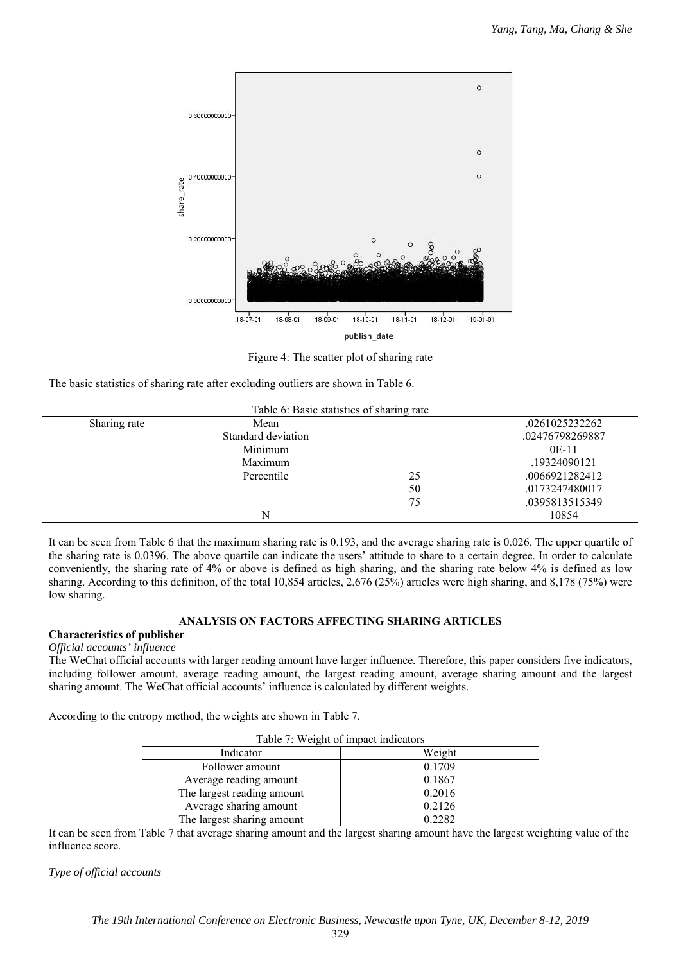

Figure 4: The scatter plot of sharing rate

The basic statistics of sharing rate after excluding outliers are shown in Table 6.

| Table 6: Basic statistics of sharing rate |                    |    |                 |  |  |  |
|-------------------------------------------|--------------------|----|-----------------|--|--|--|
| Sharing rate                              | Mean               |    | .0261025232262  |  |  |  |
|                                           | Standard deviation |    | .02476798269887 |  |  |  |
|                                           | Minimum            |    | $0E-11$         |  |  |  |
|                                           | Maximum            |    | .19324090121    |  |  |  |
|                                           | Percentile         | 25 | .0066921282412  |  |  |  |
|                                           |                    | 50 | .0173247480017  |  |  |  |
|                                           |                    | 75 | .0395813515349  |  |  |  |
|                                           | N                  |    | 10854           |  |  |  |

It can be seen from Table 6 that the maximum sharing rate is 0.193, and the average sharing rate is 0.026. The upper quartile of the sharing rate is 0.0396. The above quartile can indicate the users' attitude to share to a certain degree. In order to calculate conveniently, the sharing rate of 4% or above is defined as high sharing, and the sharing rate below 4% is defined as low sharing. According to this definition, of the total 10,854 articles, 2,676 (25%) articles were high sharing, and 8,178 (75%) were low sharing.

# **ANALYSIS ON FACTORS AFFECTING SHARING ARTICLES**

# **Characteristics of publisher**

# *Official accounts' influence*

The WeChat official accounts with larger reading amount have larger influence. Therefore, this paper considers five indicators, including follower amount, average reading amount, the largest reading amount, average sharing amount and the largest sharing amount. The WeChat official accounts' influence is calculated by different weights.

According to the entropy method, the weights are shown in Table 7.

| Table 7: Weight of impact indicators |        |  |  |  |
|--------------------------------------|--------|--|--|--|
| Indicator                            | Weight |  |  |  |
| Follower amount                      | 0.1709 |  |  |  |
| Average reading amount               | 0.1867 |  |  |  |
| The largest reading amount           | 0.2016 |  |  |  |
| Average sharing amount               | 0.2126 |  |  |  |
| The largest sharing amount           | 0.2282 |  |  |  |

It can be seen from Table 7 that average sharing amount and the largest sharing amount have the largest weighting value of the influence score.

*Type of official accounts*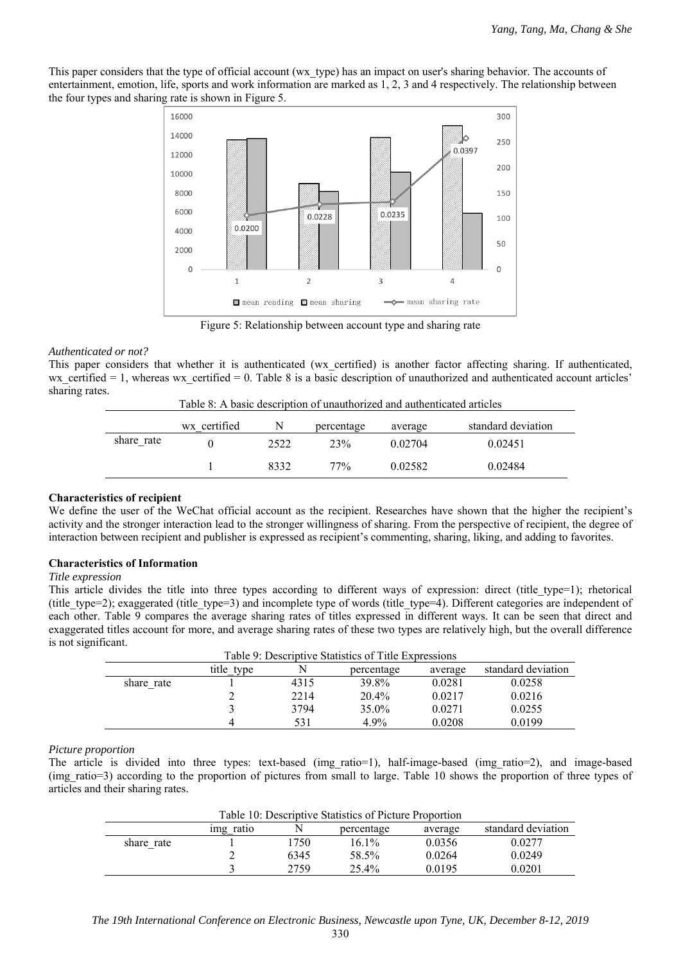This paper considers that the type of official account (wx\_type) has an impact on user's sharing behavior. The accounts of entertainment, emotion, life, sports and work information are marked as 1, 2, 3 and 4 respectively. The relationship between the four types and sharing rate is shown in Figure 5.



Figure 5: Relationship between account type and sharing rate

# *Authenticated or not?*

This paper considers that whether it is authenticated (wx\_certified) is another factor affecting sharing. If authenticated, wx certified  $= 1$ , whereas wx certified  $= 0$ . Table 8 is a basic description of unauthorized and authenticated account articles' sharing rates.

Table 8: A basic description of unauthorized and authenticated articles

|            | wx certified |      | percentage | average | standard deviation |
|------------|--------------|------|------------|---------|--------------------|
| share rate |              | 2522 | 23%        | 0.02704 | 0.02451            |
|            |              | 8332 | 77%        | 0.02582 | 0.02484            |

# **Characteristics of recipient**

We define the user of the WeChat official account as the recipient. Researches have shown that the higher the recipient's activity and the stronger interaction lead to the stronger willingness of sharing. From the perspective of recipient, the degree of interaction between recipient and publisher is expressed as recipient's commenting, sharing, liking, and adding to favorites.

# **Characteristics of Information**

# *Title expression*

This article divides the title into three types according to different ways of expression: direct (title type=1); rhetorical (title\_type=2); exaggerated (title\_type=3) and incomplete type of words (title\_type=4). Different categories are independent of each other. Table 9 compares the average sharing rates of titles expressed in different ways. It can be seen that direct and exaggerated titles account for more, and average sharing rates of these two types are relatively high, but the overall difference is not significant.

|            | Table 9: Descriptive Statistics of Title Expressions |      |            |         |                    |  |
|------------|------------------------------------------------------|------|------------|---------|--------------------|--|
|            | title type                                           | N    | percentage | average | standard deviation |  |
| share rate |                                                      | 4315 | 39.8%      | 0.0281  | 0.0258             |  |
|            |                                                      | 2214 | $20.4\%$   | 0.0217  | 0.0216             |  |
|            |                                                      | 3794 | 35.0%      | 0.0271  | 0.0255             |  |
|            | 4                                                    | 531  | 4.9%       | 0.0208  | 0.0199             |  |

# *Picture proportion*

The article is divided into three types: text-based (img\_ratio=1), half-image-based (img\_ratio=2), and image-based (img\_ratio=3) according to the proportion of pictures from small to large. Table 10 shows the proportion of three types of articles and their sharing rates.

| Table 10: Descriptive Statistics of Picture Proportion |           |      |            |         |                    |
|--------------------------------------------------------|-----------|------|------------|---------|--------------------|
|                                                        | img ratio |      | percentage | average | standard deviation |
| share rate                                             |           | .750 | $16.1\%$   | 0.0356  | 0.0277             |
|                                                        |           | 6345 | 58.5%      | 0.0264  | 0.0249             |
|                                                        |           | 2759 | $25.4\%$   | 0.0195  | 0.0201             |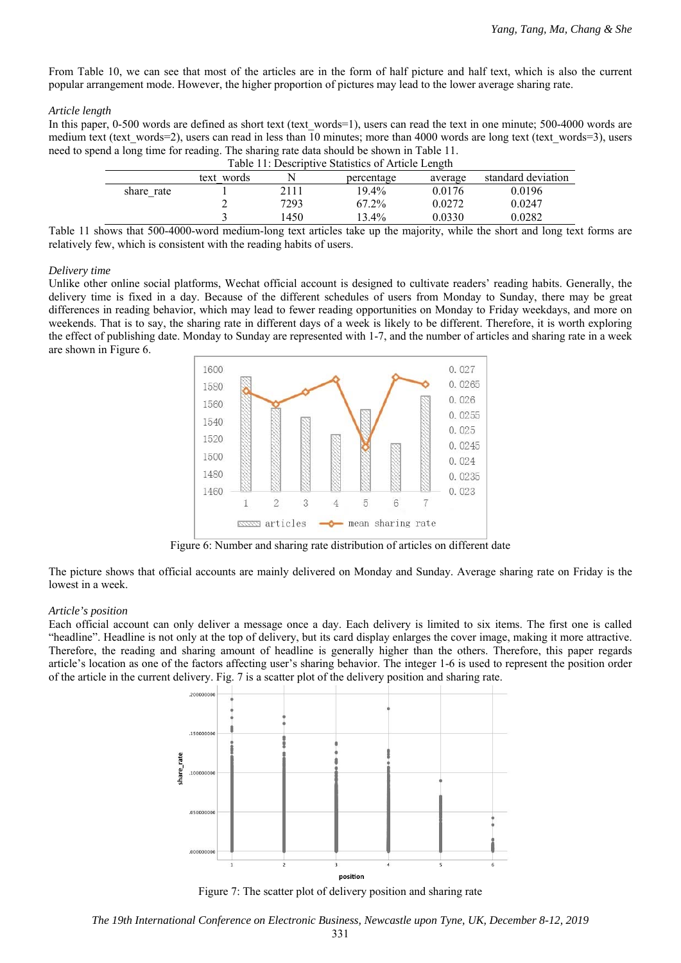From Table 10, we can see that most of the articles are in the form of half picture and half text, which is also the current popular arrangement mode. However, the higher proportion of pictures may lead to the lower average sharing rate.

#### *Article length*

In this paper, 0-500 words are defined as short text (text words=1), users can read the text in one minute; 500-4000 words are medium text (text words=2), users can read in less than 10 minutes; more than 4000 words are long text (text words=3), users need to spend a long time for reading. The sharing rate data should be shown in Table 11.

|            | Table 11: Descriptive Statistics of Article Length |      |            |         |                    |
|------------|----------------------------------------------------|------|------------|---------|--------------------|
|            | text words                                         |      | percentage | average | standard deviation |
| share rate |                                                    | 2111 | $19.4\%$   | 0.0176  | 0.0196             |
|            |                                                    | 7293 | 67.2%      | 0.0272  | 0.0247             |
|            |                                                    | 450  | $13.4\%$   | 0.0330  | 0.0282             |

Table 11 shows that 500-4000-word medium-long text articles take up the majority, while the short and long text forms are relatively few, which is consistent with the reading habits of users.

### *Delivery time*

Unlike other online social platforms, Wechat official account is designed to cultivate readers' reading habits. Generally, the delivery time is fixed in a day. Because of the different schedules of users from Monday to Sunday, there may be great differences in reading behavior, which may lead to fewer reading opportunities on Monday to Friday weekdays, and more on weekends. That is to say, the sharing rate in different days of a week is likely to be different. Therefore, it is worth exploring the effect of publishing date. Monday to Sunday are represented with 1-7, and the number of articles and sharing rate in a week are shown in Figure 6.



Figure 6: Number and sharing rate distribution of articles on different date

The picture shows that official accounts are mainly delivered on Monday and Sunday. Average sharing rate on Friday is the lowest in a week.

#### *Article's position*

Each official account can only deliver a message once a day. Each delivery is limited to six items. The first one is called "headline". Headline is not only at the top of delivery, but its card display enlarges the cover image, making it more attractive. Therefore, the reading and sharing amount of headline is generally higher than the others. Therefore, this paper regards article's location as one of the factors affecting user's sharing behavior. The integer 1-6 is used to represent the position order of the article in the current delivery. Fig. 7 is a scatter plot of the delivery position and sharing rate.



Figure 7: The scatter plot of delivery position and sharing rate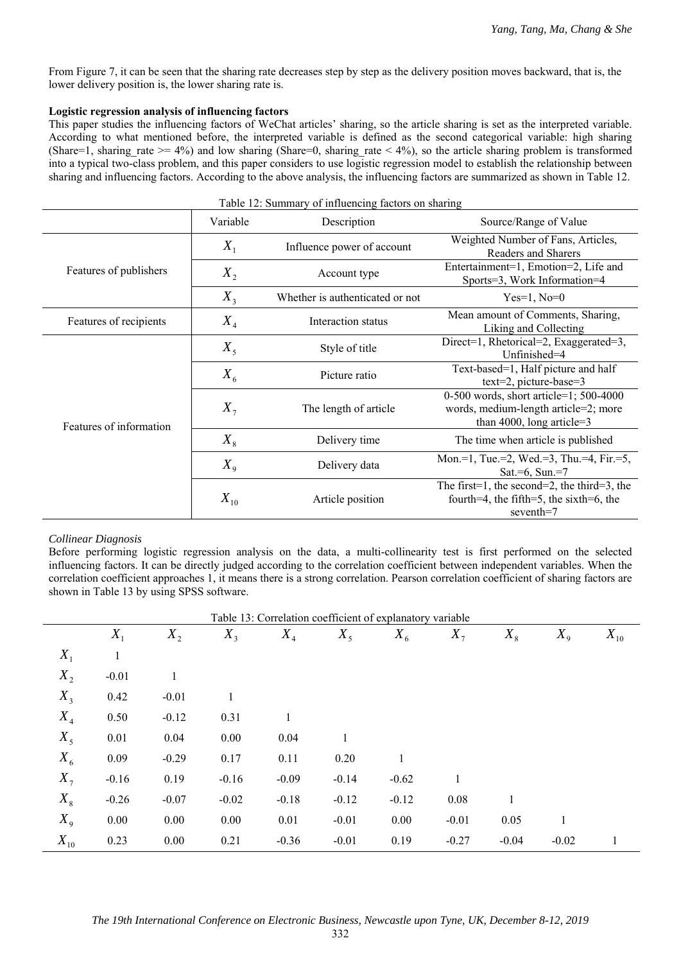From Figure 7, it can be seen that the sharing rate decreases step by step as the delivery position moves backward, that is, the lower delivery position is, the lower sharing rate is.

# **Logistic regression analysis of influencing factors**

This paper studies the influencing factors of WeChat articles' sharing, so the article sharing is set as the interpreted variable. According to what mentioned before, the interpreted variable is defined as the second categorical variable: high sharing (Share=1, sharing rate  $> = 4\%$ ) and low sharing (Share=0, sharing rate  $\lt 4\%$ ), so the article sharing problem is transformed into a typical two-class problem, and this paper considers to use logistic regression model to establish the relationship between sharing and influencing factors. According to the above analysis, the influencing factors are summarized as shown in Table 12.

| Table 12. Summary of influencing factors on sharing |          |                                 |                                                                                                                |  |  |  |  |
|-----------------------------------------------------|----------|---------------------------------|----------------------------------------------------------------------------------------------------------------|--|--|--|--|
|                                                     | Variable | Description                     | Source/Range of Value                                                                                          |  |  |  |  |
|                                                     | $X_1$    | Influence power of account      | Weighted Number of Fans, Articles,<br>Readers and Sharers                                                      |  |  |  |  |
| Features of publishers                              | $X_{2}$  | Account type                    | Entertainment=1, Emotion=2, Life and<br>Sports=3, Work Information=4                                           |  |  |  |  |
|                                                     | $X_3$    | Whether is authenticated or not | $Yes=1, No=0$                                                                                                  |  |  |  |  |
| Features of recipients                              | $X_4$    | Interaction status              | Mean amount of Comments, Sharing,<br>Liking and Collecting                                                     |  |  |  |  |
| Features of information                             | $X_{5}$  | Style of title                  | Direct=1, Rhetorical=2, Exaggerated=3,<br>Unfinished=4                                                         |  |  |  |  |
|                                                     | $X_{6}$  | Picture ratio                   | Text-based=1, Half picture and half<br>$text=2$ , picture-base=3                                               |  |  |  |  |
|                                                     | $X_{7}$  | The length of article           | 0-500 words, short article=1; 500-4000<br>words, medium-length article=2; more<br>than 4000, long article= $3$ |  |  |  |  |
|                                                     | $X_{8}$  | Delivery time                   | The time when article is published                                                                             |  |  |  |  |
|                                                     | $X_{9}$  | Delivery data                   | Mon.=1, Tue.=2, Wed.=3, Thu.=4, Fir.=5,<br>Sat.=6, Sun.=7                                                      |  |  |  |  |
|                                                     | $X_{10}$ | Article position                | The first=1, the second=2, the third=3, the<br>fourth=4, the fifth=5, the sixth=6, the<br>seventh=7            |  |  |  |  |

# Table 12: Summary of influencing factors on sharing

#### *Collinear Diagnosis*

Before performing logistic regression analysis on the data, a multi-collinearity test is first performed on the selected influencing factors. It can be directly judged according to the correlation coefficient between independent variables. When the correlation coefficient approaches 1, it means there is a strong correlation. Pearson correlation coefficient of sharing factors are shown in Table 13 by using SPSS software.

|          | Table 13: Correlation coefficient of explanatory variable |         |         |         |         |         |         |         |              |          |
|----------|-----------------------------------------------------------|---------|---------|---------|---------|---------|---------|---------|--------------|----------|
|          | $X_1$                                                     | $X_{2}$ | $X_3$   | $X_4$   | $X_5$   | $X_{6}$ | $X_{7}$ | $X_{8}$ | $X_{9}$      | $X_{10}$ |
| $X_1$    | $\mathbf{1}$                                              |         |         |         |         |         |         |         |              |          |
| $X_{2}$  | $-0.01$                                                   | 1       |         |         |         |         |         |         |              |          |
| $X_3$    | 0.42                                                      | $-0.01$ | 1       |         |         |         |         |         |              |          |
| $X_4$    | 0.50                                                      | $-0.12$ | 0.31    |         |         |         |         |         |              |          |
| $X_5$    | 0.01                                                      | 0.04    | 0.00    | 0.04    | 1       |         |         |         |              |          |
| $X_{6}$  | 0.09                                                      | $-0.29$ | 0.17    | 0.11    | 0.20    |         |         |         |              |          |
| $X_7$    | $-0.16$                                                   | 0.19    | $-0.16$ | $-0.09$ | $-0.14$ | $-0.62$ | 1       |         |              |          |
| $X_{8}$  | $-0.26$                                                   | $-0.07$ | $-0.02$ | $-0.18$ | $-0.12$ | $-0.12$ | 0.08    |         |              |          |
| $X_{9}$  | 0.00                                                      | 0.00    | 0.00    | 0.01    | $-0.01$ | 0.00    | $-0.01$ | 0.05    | $\mathbf{1}$ |          |
| $X_{10}$ | 0.23                                                      | 0.00    | 0.21    | $-0.36$ | $-0.01$ | 0.19    | $-0.27$ | $-0.04$ | $-0.02$      | 1        |

332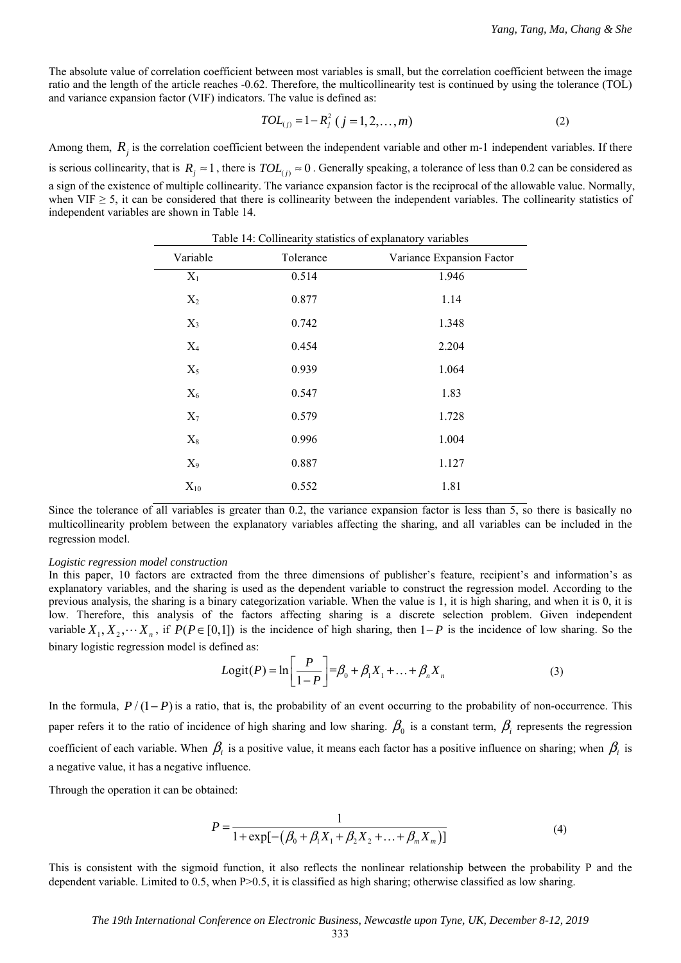The absolute value of correlation coefficient between most variables is small, but the correlation coefficient between the image ratio and the length of the article reaches -0.62. Therefore, the multicollinearity test is continued by using the tolerance (TOL) and variance expansion factor (VIF) indicators. The value is defined as:

$$
TOL_{(j)} = 1 - R_j^2 \ (j = 1, 2, ..., m)
$$
 (2)

Among them,  $R_i$  is the correlation coefficient between the independent variable and other m-1 independent variables. If there is serious collinearity, that is  $R_j \approx 1$ , there is  $TOL_{(j)} \approx 0$ . Generally speaking, a tolerance of less than 0.2 can be considered as a sign of the existence of multiple collinearity. The variance expansion factor is the reciprocal of the allowable value. Normally, when VIF  $\geq$  5, it can be considered that there is collinearity between the independent variables. The collinearity statistics of independent variables are shown in Table 14.

| Variable | Tolerance | Variance Expansion Factor |
|----------|-----------|---------------------------|
| $X_1$    | 0.514     | 1.946                     |
| $X_2$    | 0.877     | 1.14                      |
| $X_3$    | 0.742     | 1.348                     |
| $X_4$    | 0.454     | 2.204                     |
| $X_5$    | 0.939     | 1.064                     |
| $X_6$    | 0.547     | 1.83                      |
| $X_7$    | 0.579     | 1.728                     |
| $X_8$    | 0.996     | 1.004                     |
| $X_9$    | 0.887     | 1.127                     |
| $X_{10}$ | 0.552     | 1.81                      |

 $Table 14: Collinearity test.$ 

Since the tolerance of all variables is greater than 0.2, the variance expansion factor is less than 5, so there is basically no multicollinearity problem between the explanatory variables affecting the sharing, and all variables can be included in the regression model.

#### *Logistic regression model construction*

In this paper, 10 factors are extracted from the three dimensions of publisher's feature, recipient's and information's as explanatory variables, and the sharing is used as the dependent variable to construct the regression model. According to the previous analysis, the sharing is a binary categorization variable. When the value is 1, it is high sharing, and when it is 0, it is low. Therefore, this analysis of the factors affecting sharing is a discrete selection problem. Given independent variable  $X_1, X_2, \dots, X_n$ , if  $P(P \in [0,1])$  is the incidence of high sharing, then  $1-P$  is the incidence of low sharing. So the binary logistic regression model is defined as:

$$
Logit(P) = \ln \left[ \frac{P}{1 - P} \right] = \beta_0 + \beta_1 X_1 + ... + \beta_n X_n
$$
 (3)

In the formula,  $P/(1-P)$  is a ratio, that is, the probability of an event occurring to the probability of non-occurrence. This paper refers it to the ratio of incidence of high sharing and low sharing.  $\beta_0$  is a constant term,  $\beta_i$  represents the regression coefficient of each variable. When  $\beta_i$  is a positive value, it means each factor has a positive influence on sharing; when  $\beta_i$  is a negative value, it has a negative influence.

Through the operation it can be obtained:

$$
P = \frac{1}{1 + \exp[-(\beta_0 + \beta_1 X_1 + \beta_2 X_2 + \dots + \beta_m X_m)]}
$$
(4)

This is consistent with the sigmoid function, it also reflects the nonlinear relationship between the probability P and the dependent variable. Limited to 0.5, when P>0.5, it is classified as high sharing; otherwise classified as low sharing.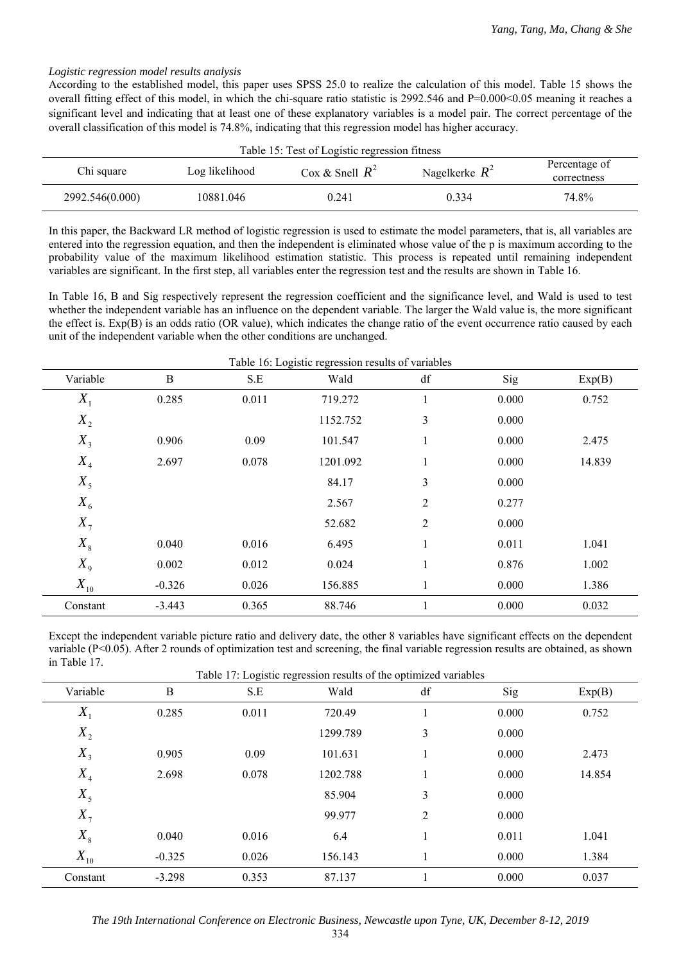### *Logistic regression model results analysis*

According to the established model, this paper uses SPSS 25.0 to realize the calculation of this model. Table 15 shows the overall fitting effect of this model, in which the chi-square ratio statistic is 2992.546 and P=0.000<0.05 meaning it reaches a significant level and indicating that at least one of these explanatory variables is a model pair. The correct percentage of the overall classification of this model is 74.8%, indicating that this regression model has higher accuracy.

| Table 15: Test of Logistic regression fitness |                                                         |       |       |       |  |  |  |
|-----------------------------------------------|---------------------------------------------------------|-------|-------|-------|--|--|--|
| Chi square                                    | Log likelihood<br>Nagelkerke $R^2$<br>Cox & Snell $R^2$ |       |       |       |  |  |  |
| 2992.546(0.000)                               | 10881.046                                               | 0.241 | 0.334 | 74.8% |  |  |  |

In this paper, the Backward LR method of logistic regression is used to estimate the model parameters, that is, all variables are entered into the regression equation, and then the independent is eliminated whose value of the p is maximum according to the probability value of the maximum likelihood estimation statistic. This process is repeated until remaining independent variables are significant. In the first step, all variables enter the regression test and the results are shown in Table 16.

In Table 16, B and Sig respectively represent the regression coefficient and the significance level, and Wald is used to test whether the independent variable has an influence on the dependent variable. The larger the Wald value is, the more significant the effect is. Exp(B) is an odds ratio (OR value), which indicates the change ratio of the event occurrence ratio caused by each unit of the independent variable when the other conditions are unchanged.

| Variable | $\, {\bf B}$ | S.E   | Wald     | df             | Sig   | Exp(B) |
|----------|--------------|-------|----------|----------------|-------|--------|
| $X_1$    | 0.285        | 0.011 | 719.272  | 1              | 0.000 | 0.752  |
| $X_{2}$  |              |       | 1152.752 | $\mathfrak{Z}$ | 0.000 |        |
| $X_3$    | 0.906        | 0.09  | 101.547  | $\mathbf{1}$   | 0.000 | 2.475  |
| $X_4$    | 2.697        | 0.078 | 1201.092 | $\mathbf{1}$   | 0.000 | 14.839 |
| $X_5$    |              |       | 84.17    | 3              | 0.000 |        |
| $X_{6}$  |              |       | 2.567    | $\overline{2}$ | 0.277 |        |
| $X_{7}$  |              |       | 52.682   | $\overline{2}$ | 0.000 |        |
| $X_{8}$  | 0.040        | 0.016 | 6.495    | $\mathbf{1}$   | 0.011 | 1.041  |
| $X_{9}$  | 0.002        | 0.012 | 0.024    | $\mathbf{1}$   | 0.876 | 1.002  |
| $X_{10}$ | $-0.326$     | 0.026 | 156.885  |                | 0.000 | 1.386  |
| Constant | $-3.443$     | 0.365 | 88.746   |                | 0.000 | 0.032  |

Except the independent variable picture ratio and delivery date, the other 8 variables have significant effects on the dependent variable (P<0.05). After 2 rounds of optimization test and screening, the final variable regression results are obtained, as shown in Table 17.

| Table 17: Logistic regression results of the optimized variables |                  |       |          |                |       |        |
|------------------------------------------------------------------|------------------|-------|----------|----------------|-------|--------|
| Variable                                                         | $\boldsymbol{B}$ | S.E   | Wald     | df             | Sig   | Exp(B) |
| $X_{1}$                                                          | 0.285            | 0.011 | 720.49   |                | 0.000 | 0.752  |
| $X_{2}$                                                          |                  |       | 1299.789 | 3              | 0.000 |        |
| $X_3$                                                            | 0.905            | 0.09  | 101.631  | 1              | 0.000 | 2.473  |
| $X_4$                                                            | 2.698            | 0.078 | 1202.788 |                | 0.000 | 14.854 |
| $X_5$                                                            |                  |       | 85.904   | 3              | 0.000 |        |
| $X_{7}$                                                          |                  |       | 99.977   | $\overline{2}$ | 0.000 |        |
| $X_{8}$                                                          | 0.040            | 0.016 | 6.4      | 1              | 0.011 | 1.041  |
| $X_{10}$                                                         | $-0.325$         | 0.026 | 156.143  |                | 0.000 | 1.384  |
| Constant                                                         | $-3.298$         | 0.353 | 87.137   |                | 0.000 | 0.037  |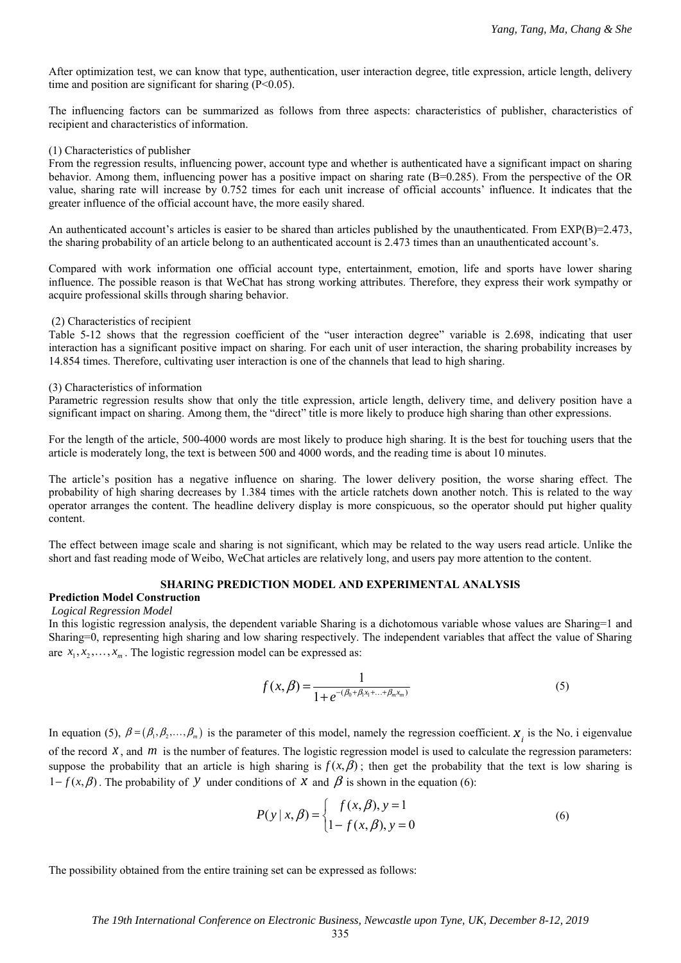After optimization test, we can know that type, authentication, user interaction degree, title expression, article length, delivery time and position are significant for sharing  $(P<0.05)$ .

The influencing factors can be summarized as follows from three aspects: characteristics of publisher, characteristics of recipient and characteristics of information.

#### (1) Characteristics of publisher

From the regression results, influencing power, account type and whether is authenticated have a significant impact on sharing behavior. Among them, influencing power has a positive impact on sharing rate (B=0.285). From the perspective of the OR value, sharing rate will increase by 0.752 times for each unit increase of official accounts' influence. It indicates that the greater influence of the official account have, the more easily shared.

An authenticated account's articles is easier to be shared than articles published by the unauthenticated. From  $EXP(B)=2.473$ , the sharing probability of an article belong to an authenticated account is 2.473 times than an unauthenticated account's.

Compared with work information one official account type, entertainment, emotion, life and sports have lower sharing influence. The possible reason is that WeChat has strong working attributes. Therefore, they express their work sympathy or acquire professional skills through sharing behavior.

#### (2) Characteristics of recipient

Table 5-12 shows that the regression coefficient of the "user interaction degree" variable is 2.698, indicating that user interaction has a significant positive impact on sharing. For each unit of user interaction, the sharing probability increases by 14.854 times. Therefore, cultivating user interaction is one of the channels that lead to high sharing.

#### (3) Characteristics of information

Parametric regression results show that only the title expression, article length, delivery time, and delivery position have a significant impact on sharing. Among them, the "direct" title is more likely to produce high sharing than other expressions.

For the length of the article, 500-4000 words are most likely to produce high sharing. It is the best for touching users that the article is moderately long, the text is between 500 and 4000 words, and the reading time is about 10 minutes.

The article's position has a negative influence on sharing. The lower delivery position, the worse sharing effect. The probability of high sharing decreases by 1.384 times with the article ratchets down another notch. This is related to the way operator arranges the content. The headline delivery display is more conspicuous, so the operator should put higher quality content.

The effect between image scale and sharing is not significant, which may be related to the way users read article. Unlike the short and fast reading mode of Weibo, WeChat articles are relatively long, and users pay more attention to the content.

### **SHARING PREDICTION MODEL AND EXPERIMENTAL ANALYSIS**

### **Prediction Model Construction**   *Logical Regression Model*

In this logistic regression analysis, the dependent variable Sharing is a dichotomous variable whose values are Sharing=1 and Sharing=0, representing high sharing and low sharing respectively. The independent variables that affect the value of Sharing are  $x_1, x_2, \ldots, x_m$ . The logistic regression model can be expressed as:

$$
f(x,\beta) = \frac{1}{1+e^{-(\beta_0+\beta_1x_1+\ldots+\beta_mx_m)}}
$$
(5)

In equation (5),  $\beta = (\beta_1, \beta_2, ..., \beta_m)$  is the parameter of this model, namely the regression coefficient. *x<sub>i</sub>* is the No. i eigenvalue of the record *x* , and *m* is the number of features. The logistic regression model is used to calculate the regression parameters: suppose the probability that an article is high sharing is  $f(x, \beta)$ ; then get the probability that the text is low sharing is  $1 - f(x, \beta)$ . The probability of *y* under conditions of *X* and  $\beta$  is shown in the equation (6):

$$
P(y | x, \beta) = \begin{cases} f(x, \beta), y = 1\\ 1 - f(x, \beta), y = 0 \end{cases}
$$
 (6)

The possibility obtained from the entire training set can be expressed as follows: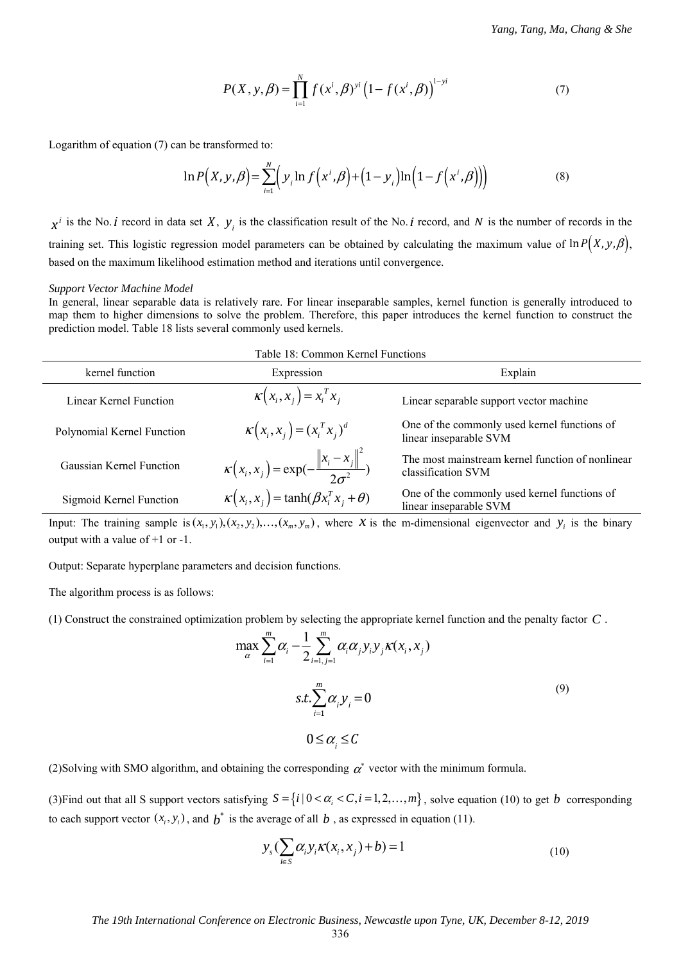$$
P(X, y, \beta) = \prod_{i=1}^{N} f(x^{i}, \beta)^{yi} (1 - f(x^{i}, \beta))^{1 - yi}
$$
 (7)

Logarithm of equation (7) can be transformed to:

$$
\ln P(X, y, \beta) = \sum_{i=1}^{N} \Big( y_i \ln f(x^i, \beta) + \Big( 1 - y_i \Big) \ln \Big( 1 - f(x^i, \beta) \Big) \Big)
$$
(8)

 $x^i$  is the No. *i* record in data set *X*,  $y_i$  is the classification result of the No. *i* record, and *N* is the number of records in the training set. This logistic regression model parameters can be obtained by calculating the maximum value of  $\ln P(X, y, \beta)$ , based on the maximum likelihood estimation method and iterations until convergence.

#### *Support Vector Machine Model*

In general, linear separable data is relatively rare. For linear inseparable samples, kernel function is generally introduced to map them to higher dimensions to solve the problem. Therefore, this paper introduces the kernel function to construct the prediction model. Table 18 lists several commonly used kernels.

| Table 18: Common Kernel Functions |                                                               |                                                                        |  |  |  |
|-----------------------------------|---------------------------------------------------------------|------------------------------------------------------------------------|--|--|--|
| kernel function                   | Expression                                                    | Explain                                                                |  |  |  |
| Linear Kernel Function            | $\kappa(x_i, x_j) = x_i^T x_j$                                | Linear separable support vector machine                                |  |  |  |
| Polynomial Kernel Function        | $K(x_i, x_j) = (x_i^T x_j)^d$                                 | One of the commonly used kernel functions of<br>linear inseparable SVM |  |  |  |
| Gaussian Kernel Function          | $\kappa(x_i, x_j) = \exp(-\frac{\ x_i - x_j\ ^2}{2\sigma^2})$ | The most mainstream kernel function of nonlinear<br>classification SVM |  |  |  |
| Sigmoid Kernel Function           | $\kappa(x_i, x_i) = \tanh(\beta x_i^T x_i + \theta)$          | One of the commonly used kernel functions of<br>linear inseparable SVM |  |  |  |

Input: The training sample is  $(x_1, y_1), (x_2, y_2), \ldots, (x_m, y_m)$ , where *x* is the m-dimensional eigenvector and  $y_i$  is the binary output with a value of +1 or -1.

Output: Separate hyperplane parameters and decision functions.

The algorithm process is as follows:

(1) Construct the constrained optimization problem by selecting the appropriate kernel function and the penalty factor *C* .

$$
\max_{\alpha} \sum_{i=1}^{m} \alpha_i - \frac{1}{2} \sum_{i=1, j=1}^{m} \alpha_i \alpha_j y_i y_j K(x_i, x_j)
$$
  

$$
s.t. \sum_{i=1}^{m} \alpha_i y_i = 0
$$
  

$$
0 \le \alpha_i \le C
$$
 (9)

(2)Solving with SMO algorithm, and obtaining the corresponding  $\alpha^*$  vector with the minimum formula.

(3) Find out that all S support vectors satisfying  $S = \{i \mid 0 < \alpha_i < C, i = 1, 2, ..., m\}$ , solve equation (10) to get *b* corresponding to each support vector  $(x_i, y_i)$ , and  $\boldsymbol{b}^*$  is the average of all  $\boldsymbol{b}$ , as expressed in equation (11).

$$
y_s \left( \sum_{i \in S} \alpha_i y_i \kappa(x_i, x_j) + b \right) = 1 \tag{10}
$$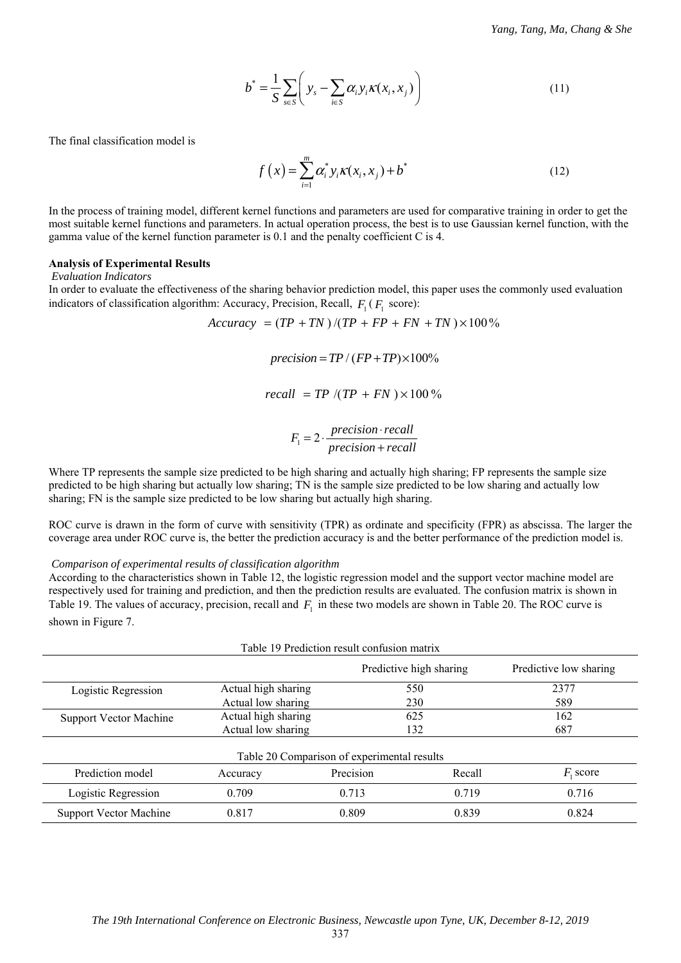$$
b^* = \frac{1}{S} \sum_{s \in S} \left( y_s - \sum_{i \in S} \alpha_i y_i \kappa(x_i, x_j) \right)
$$
 (11)

The final classification model is

$$
f(x) = \sum_{i=1}^{m} \alpha_i^* y_i \kappa(x_i, x_j) + b^*
$$
 (12)

In the process of training model, different kernel functions and parameters are used for comparative training in order to get the most suitable kernel functions and parameters. In actual operation process, the best is to use Gaussian kernel function, with the gamma value of the kernel function parameter is 0.1 and the penalty coefficient C is 4.

#### **Analysis of Experimental Results**

 *Evaluation Indicators* 

In order to evaluate the effectiveness of the sharing behavior prediction model, this paper uses the commonly used evaluation indicators of classification algorithm: Accuracy, Precision, Recall,  $F_1$  ( $F_1$  score):

 $Accuracy = (TP + TN)/(TP + FP + FN + TN) \times 100\%$ 

 $precision = TP / (FP + TP) \times 100\%$ 

$$
recall = TP / (TP + FN) \times 100\%
$$

$$
F_1 = 2 \cdot \frac{precision \cdot recall}{precision + recall}
$$

Where TP represents the sample size predicted to be high sharing and actually high sharing; FP represents the sample size predicted to be high sharing but actually low sharing; TN is the sample size predicted to be low sharing and actually low sharing; FN is the sample size predicted to be low sharing but actually high sharing.

ROC curve is drawn in the form of curve with sensitivity (TPR) as ordinate and specificity (FPR) as abscissa. The larger the coverage area under ROC curve is, the better the prediction accuracy is and the better performance of the prediction model is.

 *Comparison of experimental results of classification algorithm* 

According to the characteristics shown in Table 12, the logistic regression model and the support vector machine model are respectively used for training and prediction, and then the prediction results are evaluated. The confusion matrix is shown in Table 19. The values of accuracy, precision, recall and  $F<sub>1</sub>$  in these two models are shown in Table 20. The ROC curve is shown in Figure 7.

| Table 19 Prediction result confusion matrix       |                     |           |        |             |  |  |  |
|---------------------------------------------------|---------------------|-----------|--------|-------------|--|--|--|
| Predictive high sharing<br>Predictive low sharing |                     |           |        |             |  |  |  |
| Logistic Regression                               | Actual high sharing |           | 550    | 2377        |  |  |  |
|                                                   | Actual low sharing  |           | 230    | 589         |  |  |  |
| <b>Support Vector Machine</b>                     | Actual high sharing |           | 625    | 162         |  |  |  |
|                                                   | Actual low sharing  |           | 132    | 687         |  |  |  |
| Table 20 Comparison of experimental results       |                     |           |        |             |  |  |  |
| Prediction model                                  | Accuracy            | Precision | Recall | $F_1$ score |  |  |  |
| Logistic Regression                               | 0.709               | 0.713     | 0.719  | 0.716       |  |  |  |
| <b>Support Vector Machine</b>                     | 0.817               | 0.809     | 0.839  | 0.824       |  |  |  |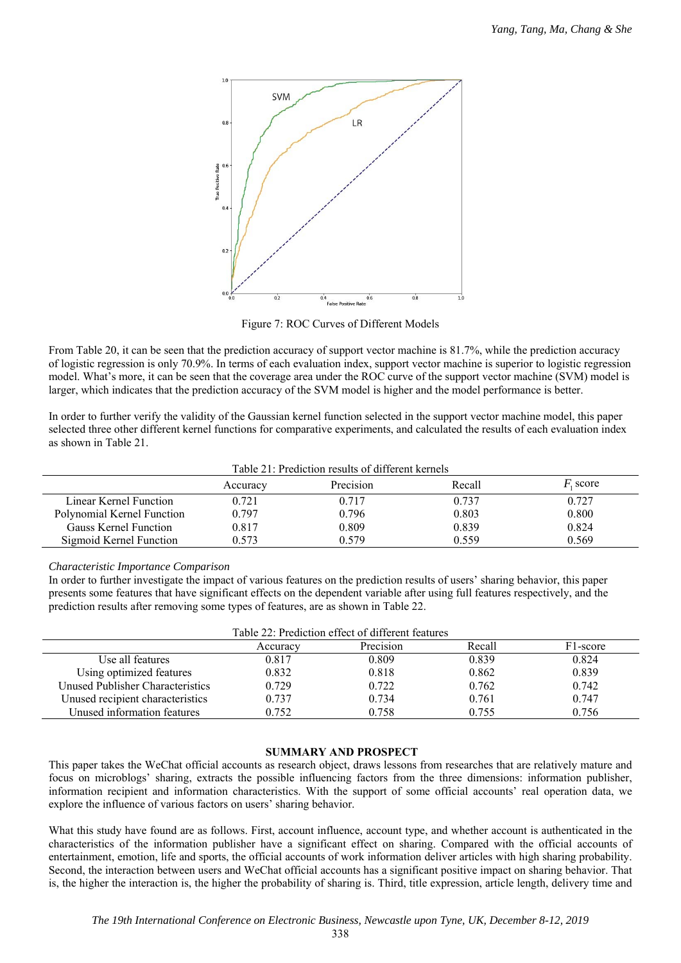

Figure 7: ROC Curves of Different Models

From Table 20, it can be seen that the prediction accuracy of support vector machine is 81.7%, while the prediction accuracy of logistic regression is only 70.9%. In terms of each evaluation index, support vector machine is superior to logistic regression model. What's more, it can be seen that the coverage area under the ROC curve of the support vector machine (SVM) model is larger, which indicates that the prediction accuracy of the SVM model is higher and the model performance is better.

In order to further verify the validity of the Gaussian kernel function selected in the support vector machine model, this paper selected three other different kernel functions for comparative experiments, and calculated the results of each evaluation index as shown in Table 21.

|                            |          | Table 21: Prediction results of different kernels |        |                  |
|----------------------------|----------|---------------------------------------------------|--------|------------------|
|                            | Accuracy | Precision                                         | Recall | <i>F</i> , score |
| Linear Kernel Function     | 0.721    | 0.717                                             | 0.737  | 0.727            |
| Polynomial Kernel Function | 0.797    | 0.796                                             | 0.803  | 0.800            |
| Gauss Kernel Function      | 0.817    | 0.809                                             | 0.839  | 0.824            |
| Sigmoid Kernel Function    | 0.573    | 0.579                                             | 0.559  | 0.569            |

# *Characteristic Importance Comparison*

In order to further investigate the impact of various features on the prediction results of users' sharing behavior, this paper presents some features that have significant effects on the dependent variable after using full features respectively, and the prediction results after removing some types of features, are as shown in Table 22.

| Table 22: Prediction effect of different features |          |           |        |                       |  |  |
|---------------------------------------------------|----------|-----------|--------|-----------------------|--|--|
|                                                   | Accuracy | Precision | Recall | F <sub>1</sub> -score |  |  |
| Use all features                                  | 0.817    | 0.809     | 0.839  | 0.824                 |  |  |
| Using optimized features                          | 0.832    | 0.818     | 0.862  | 0.839                 |  |  |
| Unused Publisher Characteristics                  | 0.729    | 0.722     | 0.762  | 0.742                 |  |  |
| Unused recipient characteristics                  | 0.737    | 0.734     | 0.761  | 0.747                 |  |  |
| Unused information features                       | 0.752    | 0.758     | 0.755  | 0.756                 |  |  |

# **SUMMARY AND PROSPECT**

This paper takes the WeChat official accounts as research object, draws lessons from researches that are relatively mature and focus on microblogs' sharing, extracts the possible influencing factors from the three dimensions: information publisher, information recipient and information characteristics. With the support of some official accounts' real operation data, we explore the influence of various factors on users' sharing behavior.

What this study have found are as follows. First, account influence, account type, and whether account is authenticated in the characteristics of the information publisher have a significant effect on sharing. Compared with the official accounts of entertainment, emotion, life and sports, the official accounts of work information deliver articles with high sharing probability. Second, the interaction between users and WeChat official accounts has a significant positive impact on sharing behavior. That is, the higher the interaction is, the higher the probability of sharing is. Third, title expression, article length, delivery time and

338